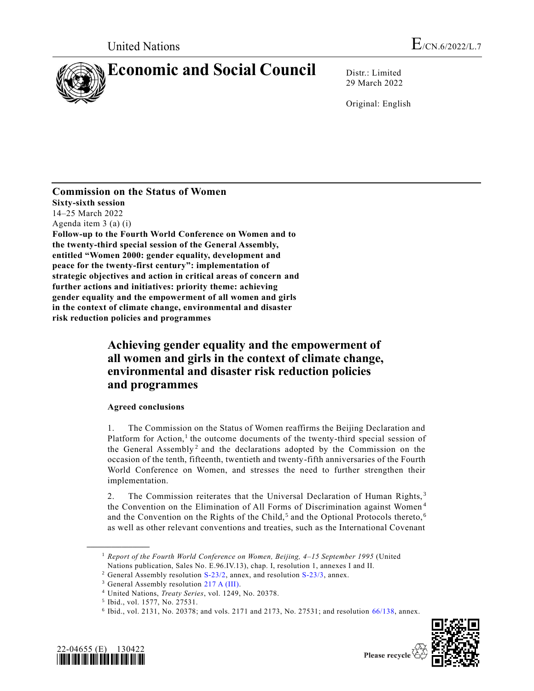

29 March 2022

Original: English

**Commission on the Status of Women Sixty-sixth session** 14–25 March 2022 Agenda item 3 (a) (i) **Follow-up to the Fourth World Conference on Women and to the twenty-third special session of the General Assembly, entitled "Women 2000: gender equality, development and peace for the twenty-first century": implementation of strategic objectives and action in critical areas of concern and further actions and initiatives: priority theme: achieving gender equality and the empowerment of all women and girls in the context of climate change, environmental and disaster risk reduction policies and programmes**

# **Achieving gender equality and the empowerment of all women and girls in the context of climate change, environmental and disaster risk reduction policies and programmes**

# **Agreed conclusions**

1. The Commission on the Status of Women reaffirms the Beijing Declaration and Platform for Action,<sup>1</sup> the outcome documents of the twenty-third special session of the General Assembly<sup>2</sup> and the declarations adopted by the Commission on the occasion of the tenth, fifteenth, twentieth and twenty-fifth anniversaries of the Fourth World Conference on Women, and stresses the need to further strengthen their implementation.

2. The Commission reiterates that the Universal Declaration of Human Rights,<sup>3</sup> the Convention on the Elimination of All Forms of Discrimination against Women <sup>4</sup> and the Convention on the Rights of the Child,<sup>5</sup> and the Optional Protocols thereto,<sup>6</sup> as well as other relevant conventions and treaties, such as the International Covenant

<sup>6</sup> Ibid., vol. 2131, No. 20378; and vols. 2171 and 2173, No. 27531; and resolution [66/138,](https://undocs.org/en/A/RES/66/138) annex.



**\_\_\_\_\_\_\_\_\_\_\_\_\_\_\_\_\_\_**



Please recycle

<sup>&</sup>lt;sup>1</sup> *Report of the Fourth World Conference on Women, Beijing, 4–15 September 1995* (United Nations publication, Sales No. E.96.IV.13), chap. I, resolution 1, annexes I and II.

<sup>&</sup>lt;sup>2</sup> General Assembly resolution [S-23/2,](https://undocs.org/en/A/RES/S-23/2) annex, and resolution [S-23/3,](https://undocs.org/en/A/RES/S-23/3) annex.

<sup>&</sup>lt;sup>3</sup> General Assembly resolution [217 A \(III\).](https://undocs.org/en/A/RES/217(III))

<sup>4</sup> United Nations, *Treaty Series*, vol. 1249, No. 20378.

<sup>5</sup> Ibid., vol. 1577, No. 27531.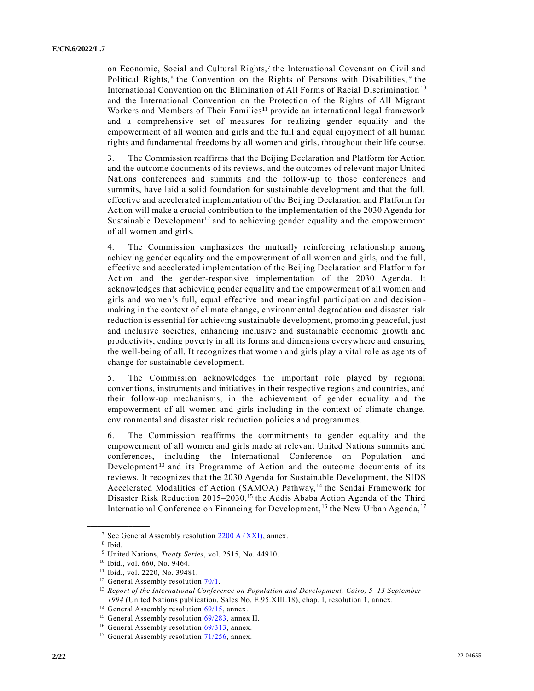on Economic, Social and Cultural Rights,<sup>7</sup> the International Covenant on Civil and Political Rights,<sup>8</sup> the Convention on the Rights of Persons with Disabilities,<sup>9</sup> the International Convention on the Elimination of All Forms of Racial Discrimination <sup>10</sup> and the International Convention on the Protection of the Rights of All Migrant Workers and Members of Their Families<sup>11</sup> provide an international legal framework and a comprehensive set of measures for realizing gender equality and the empowerment of all women and girls and the full and equal enjoyment of all human rights and fundamental freedoms by all women and girls, throughout their life course.

3. The Commission reaffirms that the Beijing Declaration and Platform for Action and the outcome documents of its reviews, and the outcomes of relevant major United Nations conferences and summits and the follow-up to those conferences and summits, have laid a solid foundation for sustainable development and that the full, effective and accelerated implementation of the Beijing Declaration and Platform for Action will make a crucial contribution to the implementation of the 2030 Agenda for Sustainable Development<sup>12</sup> and to achieving gender equality and the empowerment of all women and girls.

4. The Commission emphasizes the mutually reinforcing relationship among achieving gender equality and the empowerment of all women and girls, and the full, effective and accelerated implementation of the Beijing Declaration and Platform for Action and the gender-responsive implementation of the 2030 Agenda. It acknowledges that achieving gender equality and the empowerment of all women and girls and women's full, equal effective and meaningful participation and decision making in the context of climate change, environmental degradation and disaster risk reduction is essential for achieving sustainable development, promoting peaceful, just and inclusive societies, enhancing inclusive and sustainable economic growth and productivity, ending poverty in all its forms and dimensions everywhere and ensuring the well-being of all. It recognizes that women and girls play a vital role as agents of change for sustainable development.

5. The Commission acknowledges the important role played by regional conventions, instruments and initiatives in their respective regions and countries, and their follow-up mechanisms, in the achievement of gender equality and the empowerment of all women and girls including in the context of climate change, environmental and disaster risk reduction policies and programmes.

6. The Commission reaffirms the commitments to gender equality and the empowerment of all women and girls made at relevant United Nations summits and conferences, including the International Conference on Population and Development<sup>13</sup> and its Programme of Action and the outcome documents of its reviews. It recognizes that the 2030 Agenda for Sustainable Development, the SIDS Accelerated Modalities of Action (SAMOA) Pathway, <sup>14</sup> the Sendai Framework for Disaster Risk Reduction 2015–2030,<sup>15</sup> the Addis Ababa Action Agenda of the Third International Conference on Financing for Development,  $16$  the New Urban Agenda,  $17$ 

<sup>&</sup>lt;sup>7</sup> See General Assembly resolution  $2200$  A (XXI), annex.

<sup>8</sup> Ibid.

<sup>9</sup> United Nations, *Treaty Series*, vol. 2515, No. 44910.

<sup>10</sup> Ibid., vol. 660, No. 9464.

<sup>11</sup> Ibid., vol. 2220, No. 39481.

<sup>&</sup>lt;sup>12</sup> General Assembly resolution [70/1.](https://undocs.org/en/A/RES/70/1)

<sup>&</sup>lt;sup>13</sup> Report of the International Conference on Population and Development, Cairo, 5-13 September *1994* (United Nations publication, Sales No. E.95.XIII.18), chap. I, resolution 1, annex.

<sup>&</sup>lt;sup>14</sup> General Assembly resolution [69/15,](https://undocs.org/en/A/RES/69/15) annex.

<sup>&</sup>lt;sup>15</sup> General Assembly resolution [69/283,](https://undocs.org/en/A/RES/69/283) annex II.

<sup>&</sup>lt;sup>16</sup> General Assembly resolution [69/313,](https://undocs.org/en/A/RES/69/313) annex.

 $17$  General Assembly resolution  $71/256$ , annex.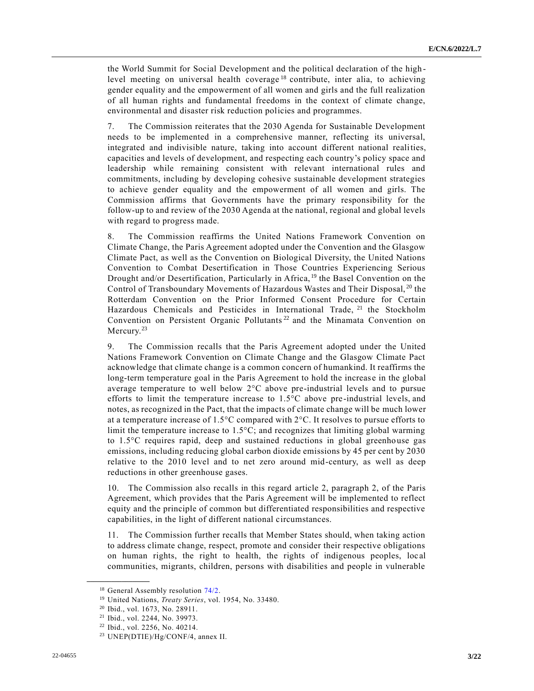the World Summit for Social Development and the political declaration of the high level meeting on universal health coverage<sup>18</sup> contribute, inter alia, to achieving gender equality and the empowerment of all women and girls and the full realization of all human rights and fundamental freedoms in the context of climate change, environmental and disaster risk reduction policies and programmes.

7. The Commission reiterates that the 2030 Agenda for Sustainable Development needs to be implemented in a comprehensive manner, reflecting its universal, integrated and indivisible nature, taking into account different national realities, capacities and levels of development, and respecting each country's policy space and leadership while remaining consistent with relevant international rules and commitments, including by developing cohesive sustainable development strategies to achieve gender equality and the empowerment of all women and girls. The Commission affirms that Governments have the primary responsibility for the follow-up to and review of the 2030 Agenda at the national, regional and global levels with regard to progress made.

8. The Commission reaffirms the United Nations Framework Convention on Climate Change, the Paris Agreement adopted under the Convention and the Glasgow Climate Pact, as well as the Convention on Biological Diversity, the United Nations Convention to Combat Desertification in Those Countries Experiencing Serious Drought and/or Desertification, Particularly in Africa, <sup>19</sup> the Basel Convention on the Control of Transboundary Movements of Hazardous Wastes and Their Disposal, <sup>20</sup> the Rotterdam Convention on the Prior Informed Consent Procedure for Certain Hazardous Chemicals and Pesticides in International Trade, <sup>21</sup> the Stockholm Convention on Persistent Organic Pollutants<sup>22</sup> and the Minamata Convention on Mercury.<sup>23</sup>

9. The Commission recalls that the Paris Agreement adopted under the United Nations Framework Convention on Climate Change and the Glasgow Climate Pact acknowledge that climate change is a common concern of humankind. It reaffirms the long-term temperature goal in the Paris Agreement to hold the increase in the global average temperature to well below 2°C above pre-industrial levels and to pursue efforts to limit the temperature increase to  $1.5^{\circ}$ C above pre-industrial levels, and notes, as recognized in the Pact, that the impacts of climate change will be much lower at a temperature increase of 1.5°C compared with 2°C. It resolves to pursue efforts to limit the temperature increase to 1.5°C; and recognizes that limiting global warming to 1.5°C requires rapid, deep and sustained reductions in global greenhouse gas emissions, including reducing global carbon dioxide emissions by 45 per cent by 2030 relative to the 2010 level and to net zero around mid-century, as well as deep reductions in other greenhouse gases.

10. The Commission also recalls in this regard article 2, paragraph 2, of the Paris Agreement, which provides that the Paris Agreement will be implemented to reflect equity and the principle of common but differentiated responsibilities and respective capabilities, in the light of different national circumstances.

11. The Commission further recalls that Member States should, when taking action to address climate change, respect, promote and consider their respective obligations on human rights, the right to health, the rights of indigenous peoples, loc al communities, migrants, children, persons with disabilities and people in vulnerable

<sup>&</sup>lt;sup>18</sup> General Assembly resolution [74/2.](https://undocs.org/en/A/RES/74/2)

<sup>19</sup> United Nations, *Treaty Series*, vol. 1954, No. 33480.

<sup>20</sup> Ibid., vol. 1673, No. 28911.

<sup>21</sup> Ibid., vol. 2244, No. 39973.

<sup>22</sup> Ibid., vol. 2256, No. 40214.

<sup>23</sup> UNEP(DTIE)/Hg/CONF/4, annex II.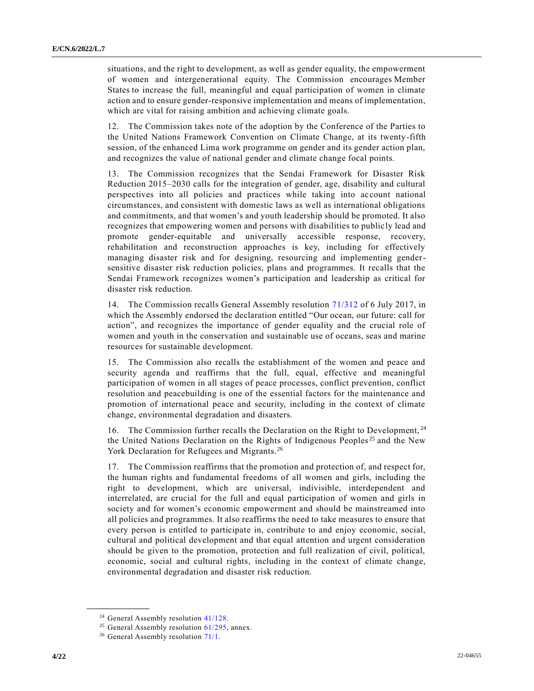situations, and the right to development, as well as gender equality, the empowerment of women and intergenerational equity. The Commission encourages Member States to increase the full, meaningful and equal participation of women in climate action and to ensure gender-responsive implementation and means of implementation, which are vital for raising ambition and achieving climate goals.

12. The Commission takes note of the adoption by the Conference of the Parties to the United Nations Framework Convention on Climate Change, at its twenty-fifth session, of the enhanced Lima work programme on gender and its gender action plan, and recognizes the value of national gender and climate change focal points.

13. The Commission recognizes that the Sendai Framework for Disaster Risk Reduction 2015–2030 calls for the integration of gender, age, disability and cultural perspectives into all policies and practices while taking into account national circumstances, and consistent with domestic laws as well as international obligations and commitments, and that women's and youth leadership should be promoted. It also recognizes that empowering women and persons with disabilities to publicly lead and promote gender-equitable and universally accessible response, recovery, rehabilitation and reconstruction approaches is key, including for effectively managing disaster risk and for designing, resourcing and implementing gendersensitive disaster risk reduction policies, plans and programmes. It recalls that the Sendai Framework recognizes women's participation and leadership as critical for disaster risk reduction.

14. The Commission recalls General Assembly resolution [71/312](https://undocs.org/en/A/RES/71/312) of 6 July 2017, in which the Assembly endorsed the declaration entitled "Our ocean, our future: call for action", and recognizes the importance of gender equality and the crucial role of women and youth in the conservation and sustainable use of oceans, seas and marine resources for sustainable development.

15. The Commission also recalls the establishment of the women and peace and security agenda and reaffirms that the full, equal, effective and meaningful participation of women in all stages of peace processes, conflict prevention, conflict resolution and peacebuilding is one of the essential factors for the maintenance and promotion of international peace and security, including in the context of climate change, environmental degradation and disasters.

16. The Commission further recalls the Declaration on the Right to Development, <sup>24</sup> the United Nations Declaration on the Rights of Indigenous Peoples <sup>25</sup> and the New York Declaration for Refugees and Migrants.<sup>26</sup>

17. The Commission reaffirms that the promotion and protection of, and respect for, the human rights and fundamental freedoms of all women and girls, including the right to development, which are universal, indivisible, interdependent and interrelated, are crucial for the full and equal participation of women and girls in society and for women's economic empowerment and should be mainstreamed into all policies and programmes. It also reaffirms the need to take measures to ensure that every person is entitled to participate in, contribute to and enjoy economic, social, cultural and political development and that equal attention and urgent consideration should be given to the promotion, protection and full realization of civil, political, economic, social and cultural rights, including in the context of climate change, environmental degradation and disaster risk reduction.

<sup>&</sup>lt;sup>24</sup> General Assembly resolution [41/128.](https://undocs.org/en/A/RES/41/128)

<sup>&</sup>lt;sup>25</sup> General Assembly resolution  $61/295$ , annex.

<sup>&</sup>lt;sup>26</sup> General Assembly resolution [71/1.](https://undocs.org/en/A/RES/71/1)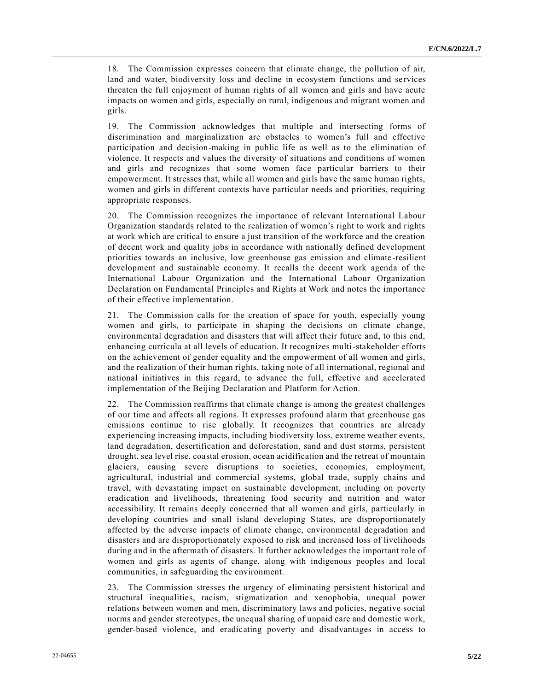18. The Commission expresses concern that climate change, the pollution of air, land and water, biodiversity loss and decline in ecosystem functions and services threaten the full enjoyment of human rights of all women and girls and have acute impacts on women and girls, especially on rural, indigenous and migrant women and girls.

19. The Commission acknowledges that multiple and intersecting forms of discrimination and marginalization are obstacles to women's full and effective participation and decision-making in public life as well as to the elimination of violence. It respects and values the diversity of situations and conditions of women and girls and recognizes that some women face particular barriers to their empowerment. It stresses that, while all women and girls have the same human rights, women and girls in different contexts have particular needs and priorities, requiring appropriate responses.

20. The Commission recognizes the importance of relevant International Labour Organization standards related to the realization of women's right to work and rights at work which are critical to ensure a just transition of the workforce and the creation of decent work and quality jobs in accordance with nationally defined development priorities towards an inclusive, low greenhouse gas emission and climate -resilient development and sustainable economy. It recalls the decent work agenda of the International Labour Organization and the International Labour Organization Declaration on Fundamental Principles and Rights at Work and notes the importance of their effective implementation.

21. The Commission calls for the creation of space for youth, especially young women and girls, to participate in shaping the decisions on climate change, environmental degradation and disasters that will affect their future and, to this end, enhancing curricula at all levels of education. It recognizes multi-stakeholder efforts on the achievement of gender equality and the empowerment of all women and girls, and the realization of their human rights, taking note of all international, regional and national initiatives in this regard, to advance the full, effective and accelerated implementation of the Beijing Declaration and Platform for Action.

22. The Commission reaffirms that climate change is among the greatest challenges of our time and affects all regions. It expresses profound alarm that greenhouse gas emissions continue to rise globally. It recognizes that countries are already experiencing increasing impacts, including biodiversity loss, extreme weather events, land degradation, desertification and deforestation, sand and dust storms, persistent drought, sea level rise, coastal erosion, ocean acidification and the retreat of mountain glaciers, causing severe disruptions to societies, economies, employment, agricultural, industrial and commercial systems, global trade, supply chains and travel, with devastating impact on sustainable development, including on poverty eradication and livelihoods, threatening food security and nutrition and water accessibility. It remains deeply concerned that all women and girls, particularly in developing countries and small island developing States, are disproportionately affected by the adverse impacts of climate change, environmental degradation and disasters and are disproportionately exposed to risk and increased loss of livelihoods during and in the aftermath of disasters. It further acknowledges the important role of women and girls as agents of change, along with indigenous peoples and local communities, in safeguarding the environment.

23. The Commission stresses the urgency of eliminating persistent historical and structural inequalities, racism, stigmatization and xenophobia, unequal power relations between women and men, discriminatory laws and policies, negative social norms and gender stereotypes, the unequal sharing of unpaid care and domestic work, gender-based violence, and eradicating poverty and disadvantages in access to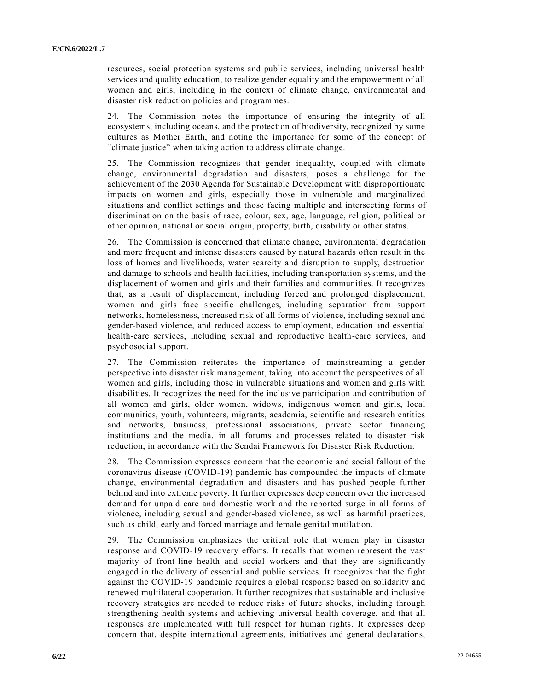resources, social protection systems and public services, including universal health services and quality education, to realize gender equality and the empowerment of all women and girls, including in the context of climate change, environmental and disaster risk reduction policies and programmes.

24. The Commission notes the importance of ensuring the integrity of all ecosystems, including oceans, and the protection of biodiversity, recognized by some cultures as Mother Earth, and noting the importance for some of the concept of "climate justice" when taking action to address climate change.

25. The Commission recognizes that gender inequality, coupled with climate change, environmental degradation and disasters, poses a challenge for the achievement of the 2030 Agenda for Sustainable Development with disproportionate impacts on women and girls, especially those in vulnerable and marginalized situations and conflict settings and those facing multiple and intersecting forms of discrimination on the basis of race, colour, sex, age, language, religion, political or other opinion, national or social origin, property, birth, disability or other status.

26. The Commission is concerned that climate change, environmental degradation and more frequent and intense disasters caused by natural hazards often result in the loss of homes and livelihoods, water scarcity and disruption to supply, destruction and damage to schools and health facilities, including transportation systems, and the displacement of women and girls and their families and communities. It recognizes that, as a result of displacement, including forced and prolonged displacement, women and girls face specific challenges, including separation from support networks, homelessness, increased risk of all forms of violence, including sexual and gender-based violence, and reduced access to employment, education and essential health-care services, including sexual and reproductive health-care services, and psychosocial support.

27. The Commission reiterates the importance of mainstreaming a gender perspective into disaster risk management, taking into account the perspectives of all women and girls, including those in vulnerable situations and women and girls with disabilities. It recognizes the need for the inclusive participation and contribution of all women and girls, older women, widows, indigenous women and girls, local communities, youth, volunteers, migrants, academia, scientific and research entities and networks, business, professional associations, private sector financing institutions and the media, in all forums and processes related to disaster risk reduction, in accordance with the Sendai Framework for Disaster Risk Reduction.

28. The Commission expresses concern that the economic and social fallout of the coronavirus disease (COVID-19) pandemic has compounded the impacts of climate change, environmental degradation and disasters and has pushed people further behind and into extreme poverty. It further expresses deep concern over the increased demand for unpaid care and domestic work and the reported surge in all forms of violence, including sexual and gender-based violence, as well as harmful practices, such as child, early and forced marriage and female genital mutilation.

29. The Commission emphasizes the critical role that women play in disaster response and COVID-19 recovery efforts. It recalls that women represent the vast majority of front-line health and social workers and that they are significantly engaged in the delivery of essential and public services. It recognizes that the fight against the COVID-19 pandemic requires a global response based on solidarity and renewed multilateral cooperation. It further recognizes that sustainable and inclusive recovery strategies are needed to reduce risks of future shocks, including through strengthening health systems and achieving universal health coverage, and that all responses are implemented with full respect for human rights. It expresses deep concern that, despite international agreements, initiatives and general declarations,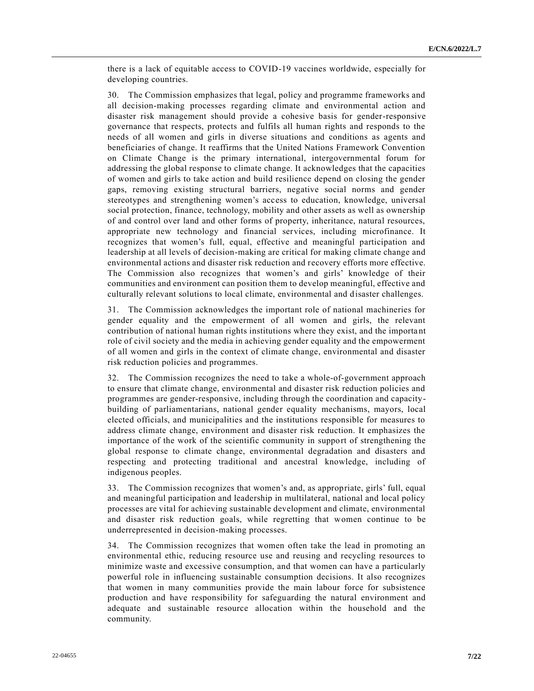there is a lack of equitable access to COVID-19 vaccines worldwide, especially for developing countries.

30. The Commission emphasizes that legal, policy and programme frameworks and all decision-making processes regarding climate and environmental action and disaster risk management should provide a cohesive basis for gender-responsive governance that respects, protects and fulfils all human rights and responds to the needs of all women and girls in diverse situations and conditions as agents and beneficiaries of change. It reaffirms that the United Nations Framework Convention on Climate Change is the primary international, intergovernmental forum for addressing the global response to climate change. It acknowledges that the capacities of women and girls to take action and build resilience depend on closing the gender gaps, removing existing structural barriers, negative social norms and gender stereotypes and strengthening women's access to education, knowledge, universal social protection, finance, technology, mobility and other assets as well as ownership of and control over land and other forms of property, inheritance, natural resources, appropriate new technology and financial services, including microfinance. It recognizes that women's full, equal, effective and meaningful participation and leadership at all levels of decision-making are critical for making climate change and environmental actions and disaster risk reduction and recovery efforts more effective. The Commission also recognizes that women's and girls' knowledge of their communities and environment can position them to develop meaningful, effective and culturally relevant solutions to local climate, environmental and disaster challenges.

31. The Commission acknowledges the important role of national machineries for gender equality and the empowerment of all women and girls, the relevant contribution of national human rights institutions where they exist, and the importa nt role of civil society and the media in achieving gender equality and the empowerment of all women and girls in the context of climate change, environmental and disaster risk reduction policies and programmes.

32. The Commission recognizes the need to take a whole-of-government approach to ensure that climate change, environmental and disaster risk reduction policies and programmes are gender-responsive, including through the coordination and capacitybuilding of parliamentarians, national gender equality mechanisms, mayors, local elected officials, and municipalities and the institutions responsible for measures to address climate change, environment and disaster risk reduction. It emphasizes the importance of the work of the scientific community in support of strengthening the global response to climate change, environmental degradation and disasters and respecting and protecting traditional and ancestral knowledge, including of indigenous peoples.

33. The Commission recognizes that women's and, as appropriate, girls' full, equal and meaningful participation and leadership in multilateral, national and local policy processes are vital for achieving sustainable development and climate, environmental and disaster risk reduction goals, while regretting that women continue to be underrepresented in decision-making processes.

34. The Commission recognizes that women often take the lead in promoting an environmental ethic, reducing resource use and reusing and recycling resources to minimize waste and excessive consumption, and that women can have a particularly powerful role in influencing sustainable consumption decisions. It also recognizes that women in many communities provide the main labour force for subsistence production and have responsibility for safeguarding the natural environment and adequate and sustainable resource allocation within the household and the community.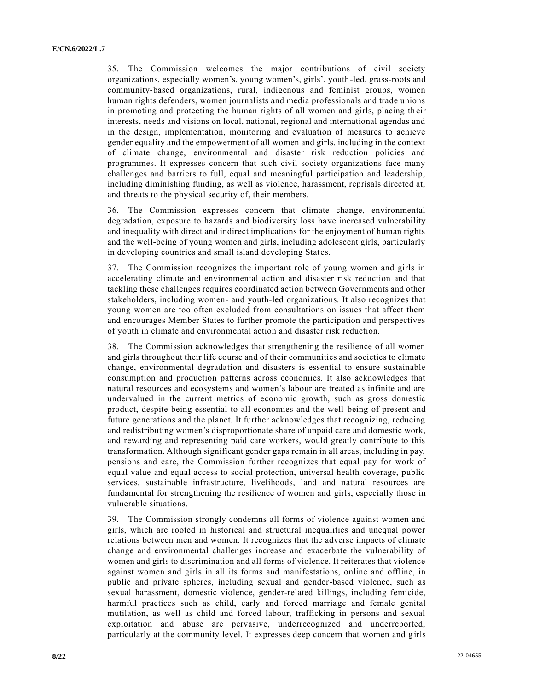35. The Commission welcomes the major contributions of civil society organizations, especially women's, young women's, girls', youth-led, grass-roots and community-based organizations, rural, indigenous and feminist groups, women human rights defenders, women journalists and media professionals and trade unions in promoting and protecting the human rights of all women and girls, placing th eir interests, needs and visions on local, national, regional and international agendas and in the design, implementation, monitoring and evaluation of measures to achieve gender equality and the empowerment of all women and girls, including in the context of climate change, environmental and disaster risk reduction policies and programmes. It expresses concern that such civil society organizations face many challenges and barriers to full, equal and meaningful participation and leadership, including diminishing funding, as well as violence, harassment, reprisals directed at, and threats to the physical security of, their members.

36. The Commission expresses concern that climate change, environmental degradation, exposure to hazards and biodiversity loss have increased vulnerability and inequality with direct and indirect implications for the enjoyment of human rights and the well-being of young women and girls, including adolescent girls, particularly in developing countries and small island developing States.

37. The Commission recognizes the important role of young women and girls in accelerating climate and environmental action and disaster risk reduction and that tackling these challenges requires coordinated action between Governments and other stakeholders, including women- and youth-led organizations. It also recognizes that young women are too often excluded from consultations on issues that affect them and encourages Member States to further promote the participation and perspectives of youth in climate and environmental action and disaster risk reduction.

38. The Commission acknowledges that strengthening the resilience of all women and girls throughout their life course and of their communities and societies to climate change, environmental degradation and disasters is essential to ensure sustainable consumption and production patterns across economies. It also acknowledges that natural resources and ecosystems and women's labour are treated as infinite and are undervalued in the current metrics of economic growth, such as gross domestic product, despite being essential to all economies and the well-being of present and future generations and the planet. It further acknowledges that recognizing, reducing and redistributing women's disproportionate share of unpaid care and domestic work, and rewarding and representing paid care workers, would greatly contribute to this transformation. Although significant gender gaps remain in all areas, including in pay, pensions and care, the Commission further recognizes that equal pay for work of equal value and equal access to social protection, universal health coverage, public services, sustainable infrastructure, livelihoods, land and natural resources are fundamental for strengthening the resilience of women and girls, especially those in vulnerable situations.

39. The Commission strongly condemns all forms of violence against women and girls, which are rooted in historical and structural inequalities and unequal power relations between men and women. It recognizes that the adverse impacts of climate change and environmental challenges increase and exacerbate the vulnerability of women and girls to discrimination and all forms of violence. It reiterates that violence against women and girls in all its forms and manifestations, online and offline, in public and private spheres, including sexual and gender-based violence, such as sexual harassment, domestic violence, gender-related killings, including femicide, harmful practices such as child, early and forced marriage and female genital mutilation, as well as child and forced labour, trafficking in persons and sexual exploitation and abuse are pervasive, underrecognized and underreported, particularly at the community level. It expresses deep concern that women and girls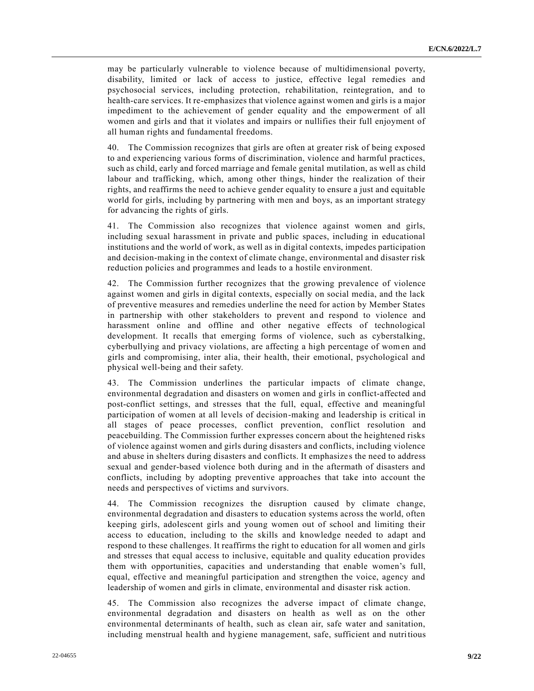may be particularly vulnerable to violence because of multidimensional poverty, disability, limited or lack of access to justice, effective legal remedies and psychosocial services, including protection, rehabilitation, reintegration, and to health-care services. It re-emphasizes that violence against women and girls is a major impediment to the achievement of gender equality and the empowerment of all women and girls and that it violates and impairs or nullifies their full enjoyment of all human rights and fundamental freedoms.

40. The Commission recognizes that girls are often at greater risk of being exposed to and experiencing various forms of discrimination, violence and harmful practices, such as child, early and forced marriage and female genital mutilation, as well as child labour and trafficking, which, among other things, hinder the realization of their rights, and reaffirms the need to achieve gender equality to ensure a just and equitable world for girls, including by partnering with men and boys, as an important strategy for advancing the rights of girls.

41. The Commission also recognizes that violence against women and girls, including sexual harassment in private and public spaces, including in educational institutions and the world of work, as well as in digital contexts, impedes participation and decision-making in the context of climate change, environmental and disaster risk reduction policies and programmes and leads to a hostile environment.

42. The Commission further recognizes that the growing prevalence of violence against women and girls in digital contexts, especially on social media, and the lack of preventive measures and remedies underline the need for action by Member States in partnership with other stakeholders to prevent and respond to violence and harassment online and offline and other negative effects of technological development. It recalls that emerging forms of violence, such as cyberstalking, cyberbullying and privacy violations, are affecting a high percentage of women and girls and compromising, inter alia, their health, their emotional, psychological and physical well-being and their safety.

43. The Commission underlines the particular impacts of climate change, environmental degradation and disasters on women and girls in conflict-affected and post-conflict settings, and stresses that the full, equal, effective and meaningful participation of women at all levels of decision-making and leadership is critical in all stages of peace processes, conflict prevention, conflict resolution and peacebuilding. The Commission further expresses concern about the heightened risks of violence against women and girls during disasters and conflicts, including violence and abuse in shelters during disasters and conflicts. It emphasize s the need to address sexual and gender-based violence both during and in the aftermath of disasters and conflicts, including by adopting preventive approaches that take into account the needs and perspectives of victims and survivors.

44. The Commission recognizes the disruption caused by climate change, environmental degradation and disasters to education systems across the world, often keeping girls, adolescent girls and young women out of school and limiting their access to education, including to the skills and knowledge needed to adapt and respond to these challenges. It reaffirms the right to education for all women and girls and stresses that equal access to inclusive, equitable and quality education provides them with opportunities, capacities and understanding that enable women's full, equal, effective and meaningful participation and strengthen the voice, agency and leadership of women and girls in climate, environmental and disaster risk action.

45. The Commission also recognizes the adverse impact of climate change, environmental degradation and disasters on health as well as on the other environmental determinants of health, such as clean air, safe water and sanitation, including menstrual health and hygiene management, safe, sufficient and nutritious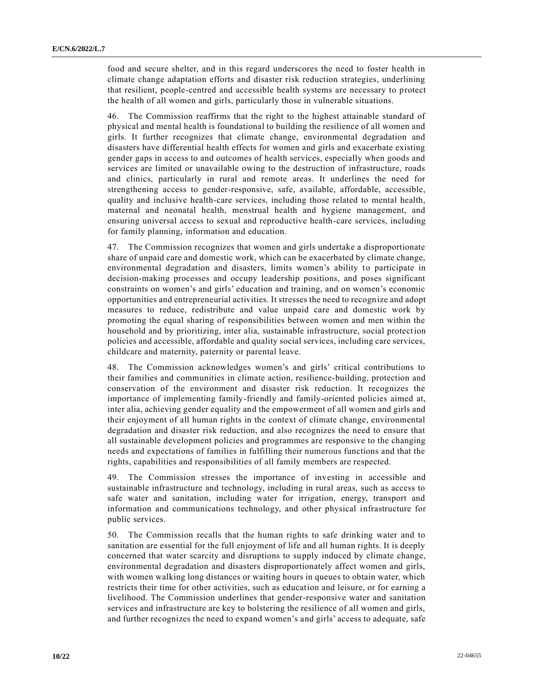food and secure shelter, and in this regard underscores the need to foster health in climate change adaptation efforts and disaster risk reduction strategies, underlining that resilient, people-centred and accessible health systems are necessary to protect the health of all women and girls, particularly those in vulnerable situations.

46. The Commission reaffirms that the right to the highest attainable standard of physical and mental health is foundational to building the resilience of all women and girls. It further recognizes that climate change, environmental degradation and disasters have differential health effects for women and girls and exacerbate existing gender gaps in access to and outcomes of health services, especially when goods and services are limited or unavailable owing to the destruction of infrastructure, roads and clinics, particularly in rural and remote areas. It underlines the need for strengthening access to gender-responsive, safe, available, affordable, accessible, quality and inclusive health-care services, including those related to mental health, maternal and neonatal health, menstrual health and hygiene management, and ensuring universal access to sexual and reproductive health-care services, including for family planning, information and education.

47. The Commission recognizes that women and girls undertake a disproportionate share of unpaid care and domestic work, which can be exacerbated by climate change, environmental degradation and disasters, limits women's ability to participate in decision-making processes and occupy leadership positions, and poses significant constraints on women's and girls' education and training, and on women's economic opportunities and entrepreneurial activities. It stresses the need to recognize and adopt measures to reduce, redistribute and value unpaid care and domestic work by promoting the equal sharing of responsibilities between women and men within the household and by prioritizing, inter alia, sustainable infrastructure, social protection policies and accessible, affordable and quality social services, including care services, childcare and maternity, paternity or parental leave.

48. The Commission acknowledges women's and girls' critical contributions to their families and communities in climate action, resilience-building, protection and conservation of the environment and disaster risk reduction. It recognizes the importance of implementing family-friendly and family-oriented policies aimed at, inter alia, achieving gender equality and the empowerment of all women and girls and their enjoyment of all human rights in the context of climate change, environmental degradation and disaster risk reduction, and also recognizes the need to ensure that all sustainable development policies and programmes are responsive to the changing needs and expectations of families in fulfilling their numerous functions and that the rights, capabilities and responsibilities of all family members are respected.

49. The Commission stresses the importance of investing in accessible and sustainable infrastructure and technology, including in rural areas, such as access to safe water and sanitation, including water for irrigation, energy, transport and information and communications technology, and other physical infrastructure for public services.

50. The Commission recalls that the human rights to safe drinking water and to sanitation are essential for the full enjoyment of life and all human rights. It is deeply concerned that water scarcity and disruptions to supply induced by climate change, environmental degradation and disasters disproportionately affect women and girls, with women walking long distances or waiting hours in queues to obtain water, which restricts their time for other activities, such as education and leisure, or for earning a livelihood. The Commission underlines that gender-responsive water and sanitation services and infrastructure are key to bolstering the resilience of all women and girls, and further recognizes the need to expand women's and girls' access to adequate, safe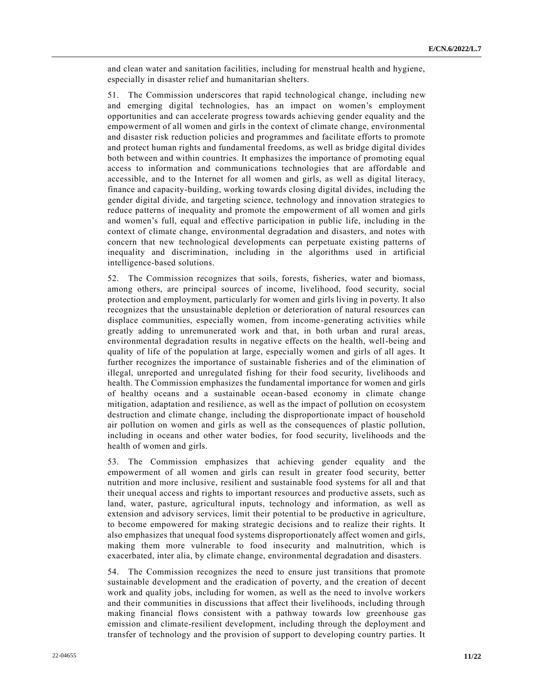and clean water and sanitation facilities, including for menstrual health and hygiene, especially in disaster relief and humanitarian shelters.

51. The Commission underscores that rapid technological change, including new and emerging digital technologies, has an impact on women's employment opportunities and can accelerate progress towards achieving gender equality and the empowerment of all women and girls in the context of climate change, environmental and disaster risk reduction policies and programmes and facilitate efforts to promote and protect human rights and fundamental freedoms, as well as bridge digital divides both between and within countries. It emphasizes the importance of promoting equal access to information and communications technologies that are affordable and accessible, and to the Internet for all women and girls, as well as digital literacy, finance and capacity-building, working towards closing digital divides, including the gender digital divide, and targeting science, technology and innovation strategies to reduce patterns of inequality and promote the empowerment of all women and girls and women's full, equal and effective participation in public life, including in the context of climate change, environmental degradation and disasters, and notes with concern that new technological developments can perpetuate existing patterns of inequality and discrimination, including in the algorithms used in artificial intelligence-based solutions.

52. The Commission recognizes that soils, forests, fisheries, water and biomass, among others, are principal sources of income, livelihood, food security, social protection and employment, particularly for women and girls living in poverty. It also recognizes that the unsustainable depletion or deterioration of natural resources can displace communities, especially women, from income-generating activities while greatly adding to unremunerated work and that, in both urban and rural areas, environmental degradation results in negative effects on the health, well-being and quality of life of the population at large, especially women and girls of all ages. It further recognizes the importance of sustainable fisheries and of the elimination of illegal, unreported and unregulated fishing for their food security, livelihoods and health. The Commission emphasizes the fundamental importance for women and girls of healthy oceans and a sustainable ocean-based economy in climate change mitigation, adaptation and resilience, as well as the impact of pollution on ecosystem destruction and climate change, including the disproportionate impact of household air pollution on women and girls as well as the consequences of plastic pollution, including in oceans and other water bodies, for food security, livelihoods and the health of women and girls.

53. The Commission emphasizes that achieving gender equality and the empowerment of all women and girls can result in greater food security, better nutrition and more inclusive, resilient and sustainable food systems for all and that their unequal access and rights to important resources and productive assets, such as land, water, pasture, agricultural inputs, technology and information, as well as extension and advisory services, limit their potential to be productive in agriculture, to become empowered for making strategic decisions and to realize their rights. It also emphasizes that unequal food systems disproportionately affect women and girls, making them more vulnerable to food insecurity and malnutrition, which is exacerbated, inter alia, by climate change, environmental degradation and disasters.

54. The Commission recognizes the need to ensure just transitions that promote sustainable development and the eradication of poverty, and the creation of decent work and quality jobs, including for women, as well as the need to involve workers and their communities in discussions that affect their livelihoods, including through making financial flows consistent with a pathway towards low greenhouse gas emission and climate-resilient development, including through the deployment and transfer of technology and the provision of support to developing country parties. It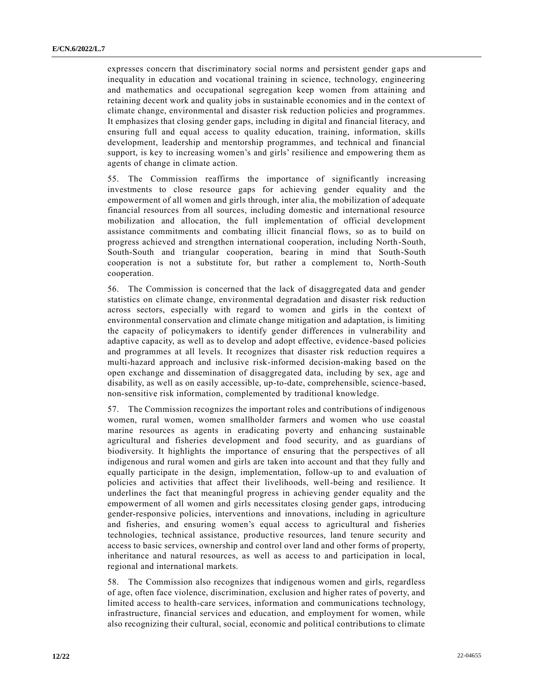expresses concern that discriminatory social norms and persistent gender gaps and inequality in education and vocational training in science, technology, engineering and mathematics and occupational segregation keep women from attaining and retaining decent work and quality jobs in sustainable economies and in the context of climate change, environmental and disaster risk reduction policies and programmes. It emphasizes that closing gender gaps, including in digital and financial literacy, and ensuring full and equal access to quality education, training, information, skills development, leadership and mentorship programmes, and technical and financial support, is key to increasing women's and girls' resilience and empowering them as agents of change in climate action.

55. The Commission reaffirms the importance of significantly increasing investments to close resource gaps for achieving gender equality and the empowerment of all women and girls through, inter alia, the mobilization of adequate financial resources from all sources, including domestic and international resource mobilization and allocation, the full implementation of official development assistance commitments and combating illicit financial flows, so as to build on progress achieved and strengthen international cooperation, including North-South, South-South and triangular cooperation, bearing in mind that South-South cooperation is not a substitute for, but rather a complement to, North-South cooperation.

56. The Commission is concerned that the lack of disaggregated data and gender statistics on climate change, environmental degradation and disaster risk reduction across sectors, especially with regard to women and girls in the context of environmental conservation and climate change mitigation and adaptation, is limiting the capacity of policymakers to identify gender differences in vulnerability and adaptive capacity, as well as to develop and adopt effective, evidence-based policies and programmes at all levels. It recognizes that disaster risk reduction requires a multi-hazard approach and inclusive risk-informed decision-making based on the open exchange and dissemination of disaggregated data, including by sex, age and disability, as well as on easily accessible, up-to-date, comprehensible, science-based, non-sensitive risk information, complemented by traditional knowledge.

57. The Commission recognizes the important roles and contributions of indigenous women, rural women, women smallholder farmers and women who use coastal marine resources as agents in eradicating poverty and enhancing sustainable agricultural and fisheries development and food security, and as guardians of biodiversity. It highlights the importance of ensuring that the perspectives of all indigenous and rural women and girls are taken into account and that they fully and equally participate in the design, implementation, follow-up to and evaluation of policies and activities that affect their livelihoods, well-being and resilience. It underlines the fact that meaningful progress in achieving gender equality and the empowerment of all women and girls necessitates closing gender gaps, introducing gender-responsive policies, interventions and innovations, including in agriculture and fisheries, and ensuring women's equal access to agricultural and fisheries technologies, technical assistance, productive resources, land tenure security and access to basic services, ownership and control over land and other forms of property, inheritance and natural resources, as well as access to and participation in local, regional and international markets.

58. The Commission also recognizes that indigenous women and girls, regardless of age, often face violence, discrimination, exclusion and higher rates of poverty, and limited access to health-care services, information and communications technology, infrastructure, financial services and education, and employment for women, while also recognizing their cultural, social, economic and political contributions to climate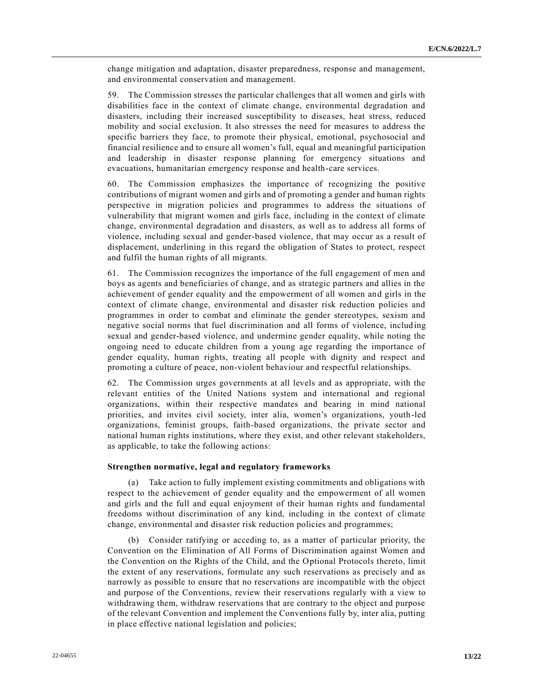change mitigation and adaptation, disaster preparedness, response and management, and environmental conservation and management.

59. The Commission stresses the particular challenges that all women and girls with disabilities face in the context of climate change, environmental degradation and disasters, including their increased susceptibility to diseases, heat stress, reduced mobility and social exclusion. It also stresses the need for measures to address the specific barriers they face, to promote their physical, emotional, psychosocial and financial resilience and to ensure all women's full, equal and meaningful participation and leadership in disaster response planning for emergency situations and evacuations, humanitarian emergency response and health-care services.

60. The Commission emphasizes the importance of recognizing the positive contributions of migrant women and girls and of promoting a gender and human rights perspective in migration policies and programmes to address the situations of vulnerability that migrant women and girls face, including in the context of climate change, environmental degradation and disasters, as well as to address all forms of violence, including sexual and gender-based violence, that may occur as a result of displacement, underlining in this regard the obligation of States to protect, respect and fulfil the human rights of all migrants.

61. The Commission recognizes the importance of the full engagement of men and boys as agents and beneficiaries of change, and as strategic partners and allies in the achievement of gender equality and the empowerment of all women and girls in the context of climate change, environmental and disaster risk reduction policies and programmes in order to combat and eliminate the gender stereotypes, sexism and negative social norms that fuel discrimination and all forms of violence, including sexual and gender-based violence, and undermine gender equality, while noting the ongoing need to educate children from a young age regarding the importance of gender equality, human rights, treating all people with dignity and respect and promoting a culture of peace, non-violent behaviour and respectful relationships.

62. The Commission urges governments at all levels and as appropriate, with the relevant entities of the United Nations system and international and regional organizations, within their respective mandates and bearing in mind national priorities, and invites civil society, inter alia, women's organizations, youth-led organizations, feminist groups, faith-based organizations, the private sector and national human rights institutions, where they exist, and other relevant stakeholders, as applicable, to take the following actions:

#### **Strengthen normative, legal and regulatory frameworks**

(a) Take action to fully implement existing commitments and obligations with respect to the achievement of gender equality and the empowerment of all women and girls and the full and equal enjoyment of their human rights and fundamental freedoms without discrimination of any kind, including in the context of climate change, environmental and disaster risk reduction policies and programmes;

Consider ratifying or acceding to, as a matter of particular priority, the Convention on the Elimination of All Forms of Discrimination against Women and the Convention on the Rights of the Child, and the Optional Protocols thereto, limit the extent of any reservations, formulate any such reservations as precisely and as narrowly as possible to ensure that no reservations are incompatible with the object and purpose of the Conventions, review their reservations regularly with a view to withdrawing them, withdraw reservations that are contrary to the object and purpose of the relevant Convention and implement the Conventions fully by, inter alia, putting in place effective national legislation and policies;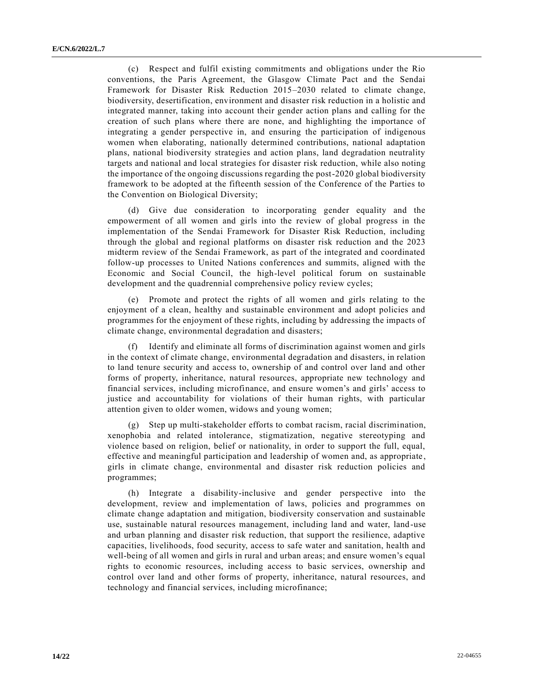(c) Respect and fulfil existing commitments and obligations under the Rio conventions, the Paris Agreement, the Glasgow Climate Pact and the Sendai Framework for Disaster Risk Reduction 2015–2030 related to climate change, biodiversity, desertification, environment and disaster risk reduction in a holistic and integrated manner, taking into account their gender action plans and calling for the creation of such plans where there are none, and highlighting the importance of integrating a gender perspective in, and ensuring the participation of indigenous women when elaborating, nationally determined contributions, national adaptation plans, national biodiversity strategies and action plans, land degradation neutrality targets and national and local strategies for disaster risk reduction, while also noting the importance of the ongoing discussions regarding the post-2020 global biodiversity framework to be adopted at the fifteenth session of the Conference of the Parties to the Convention on Biological Diversity;

(d) Give due consideration to incorporating gender equality and the empowerment of all women and girls into the review of global progress in the implementation of the Sendai Framework for Disaster Risk Reduction, including through the global and regional platforms on disaster risk reduction and the 2023 midterm review of the Sendai Framework, as part of the integrated and coordinated follow-up processes to United Nations conferences and summits, aligned with the Economic and Social Council, the high-level political forum on sustainable development and the quadrennial comprehensive policy review cycles;

(e) Promote and protect the rights of all women and girls relating to the enjoyment of a clean, healthy and sustainable environment and adopt policies and programmes for the enjoyment of these rights, including by addressing the impacts of climate change, environmental degradation and disasters;

(f) Identify and eliminate all forms of discrimination against women and girls in the context of climate change, environmental degradation and disasters, in relation to land tenure security and access to, ownership of and control over land and other forms of property, inheritance, natural resources, appropriate new technology and financial services, including microfinance, and ensure women's and girls' access to justice and accountability for violations of their human rights, with particular attention given to older women, widows and young women;

(g) Step up multi-stakeholder efforts to combat racism, racial discrimination, xenophobia and related intolerance, stigmatization, negative stereotyping and violence based on religion, belief or nationality, in order to support the full, equal, effective and meaningful participation and leadership of women and, as appropriate , girls in climate change, environmental and disaster risk reduction policies and programmes;

(h) Integrate a disability-inclusive and gender perspective into the development, review and implementation of laws, policies and programmes on climate change adaptation and mitigation, biodiversity conservation and sustainable use, sustainable natural resources management, including land and water, land-use and urban planning and disaster risk reduction, that support the resilience, adaptive capacities, livelihoods, food security, access to safe water and sanitation, health and well-being of all women and girls in rural and urban areas; and ensure women's equal rights to economic resources, including access to basic services, ownership and control over land and other forms of property, inheritance, natural resources, and technology and financial services, including microfinance;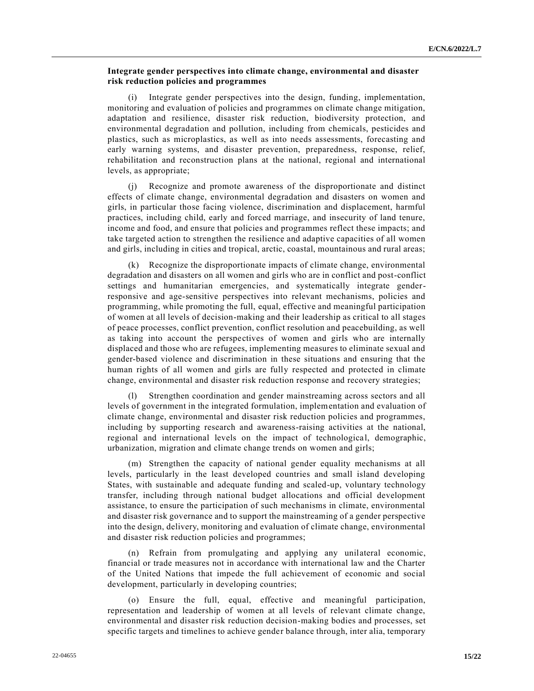## **Integrate gender perspectives into climate change, environmental and disaster risk reduction policies and programmes**

(i) Integrate gender perspectives into the design, funding, implementation, monitoring and evaluation of policies and programmes on climate change mitigation, adaptation and resilience, disaster risk reduction, biodiversity protection, and environmental degradation and pollution, including from chemicals, pesticides and plastics, such as microplastics, as well as into needs assessments, forecasting and early warning systems, and disaster prevention, preparedness, response, relief, rehabilitation and reconstruction plans at the national, regional and international levels, as appropriate;

(j) Recognize and promote awareness of the disproportionate and distinct effects of climate change, environmental degradation and disasters on women and girls, in particular those facing violence, discrimination and displacement, harmful practices, including child, early and forced marriage, and insecurity of land tenure, income and food, and ensure that policies and programmes reflect these impacts; and take targeted action to strengthen the resilience and adaptive capacities of all women and girls, including in cities and tropical, arctic, coastal, mountainous and rural areas;

(k) Recognize the disproportionate impacts of climate change, environmental degradation and disasters on all women and girls who are in conflict and post-conflict settings and humanitarian emergencies, and systematically integrate genderresponsive and age-sensitive perspectives into relevant mechanisms, policies and programming, while promoting the full, equal, effective and meaningful participation of women at all levels of decision-making and their leadership as critical to all stages of peace processes, conflict prevention, conflict resolution and peacebuilding, as well as taking into account the perspectives of women and girls who are internally displaced and those who are refugees, implementing measures to eliminate sexual and gender-based violence and discrimination in these situations and ensuring that the human rights of all women and girls are fully respected and protected in climate change, environmental and disaster risk reduction response and recovery strategies;

Strengthen coordination and gender mainstreaming across sectors and all levels of government in the integrated formulation, implementation and evaluation of climate change, environmental and disaster risk reduction policies and programmes, including by supporting research and awareness-raising activities at the national, regional and international levels on the impact of technologica l, demographic, urbanization, migration and climate change trends on women and girls;

(m) Strengthen the capacity of national gender equality mechanisms at all levels, particularly in the least developed countries and small island developing States, with sustainable and adequate funding and scaled-up, voluntary technology transfer, including through national budget allocations and official development assistance, to ensure the participation of such mechanisms in climate, environmental and disaster risk governance and to support the mainstreaming of a gender perspective into the design, delivery, monitoring and evaluation of climate change, environmental and disaster risk reduction policies and programmes;

(n) Refrain from promulgating and applying any unilateral economic, financial or trade measures not in accordance with international law and the Charter of the United Nations that impede the full achievement of economic and social development, particularly in developing countries;

(o) Ensure the full, equal, effective and meaningful participation, representation and leadership of women at all levels of relevant climate change, environmental and disaster risk reduction decision-making bodies and processes, set specific targets and timelines to achieve gender balance through, inter alia, temporary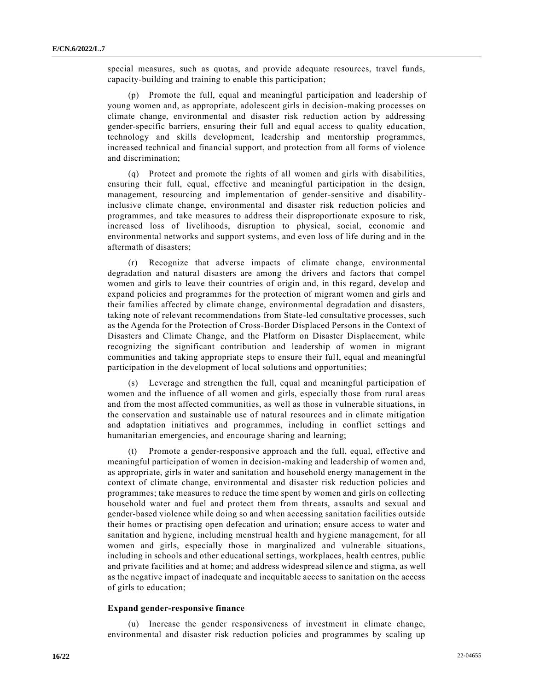special measures, such as quotas, and provide adequate resources, travel funds, capacity-building and training to enable this participation;

(p) Promote the full, equal and meaningful participation and leadership of young women and, as appropriate, adolescent girls in decision-making processes on climate change, environmental and disaster risk reduction action by addressing gender-specific barriers, ensuring their full and equal access to quality education, technology and skills development, leadership and mentorship programmes, increased technical and financial support, and protection from all forms of violence and discrimination;

(q) Protect and promote the rights of all women and girls with disabilities, ensuring their full, equal, effective and meaningful participation in the design, management, resourcing and implementation of gender-sensitive and disabilityinclusive climate change, environmental and disaster risk reduction policies and programmes, and take measures to address their disproportionate exposure to risk, increased loss of livelihoods, disruption to physical, social, economic and environmental networks and support systems, and even loss of life during and in the aftermath of disasters;

(r) Recognize that adverse impacts of climate change, environmental degradation and natural disasters are among the drivers and factors that compel women and girls to leave their countries of origin and, in this regard, develop and expand policies and programmes for the protection of migrant women and girls and their families affected by climate change, environmental degradation and disasters, taking note of relevant recommendations from State-led consultative processes, such as the Agenda for the Protection of Cross-Border Displaced Persons in the Context of Disasters and Climate Change, and the Platform on Disaster Displacement, while recognizing the significant contribution and leadership of women in migrant communities and taking appropriate steps to ensure their full, equal and meaningful participation in the development of local solutions and opportunities;

(s) Leverage and strengthen the full, equal and meaningful participation of women and the influence of all women and girls, especially those from rural areas and from the most affected communities, as well as those in vulnerable situations, in the conservation and sustainable use of natural resources and in climate mitigation and adaptation initiatives and programmes, including in conflict settings and humanitarian emergencies, and encourage sharing and learning;

(t) Promote a gender-responsive approach and the full, equal, effective and meaningful participation of women in decision-making and leadership of women and, as appropriate, girls in water and sanitation and household energy management in the context of climate change, environmental and disaster risk reduction policies and programmes; take measures to reduce the time spent by women and girls on collecting household water and fuel and protect them from threats, assaults and sexual and gender-based violence while doing so and when accessing sanitation facilities outside their homes or practising open defecation and urination; ensure access to water and sanitation and hygiene, including menstrual health and hygiene management, for all women and girls, especially those in marginalized and vulnerable situations, including in schools and other educational settings, workplaces, health centres, public and private facilities and at home; and address widespread silence and stigma, as well as the negative impact of inadequate and inequitable access to sanitation on the access of girls to education;

#### **Expand gender-responsive finance**

(u) Increase the gender responsiveness of investment in climate change, environmental and disaster risk reduction policies and programmes by scaling up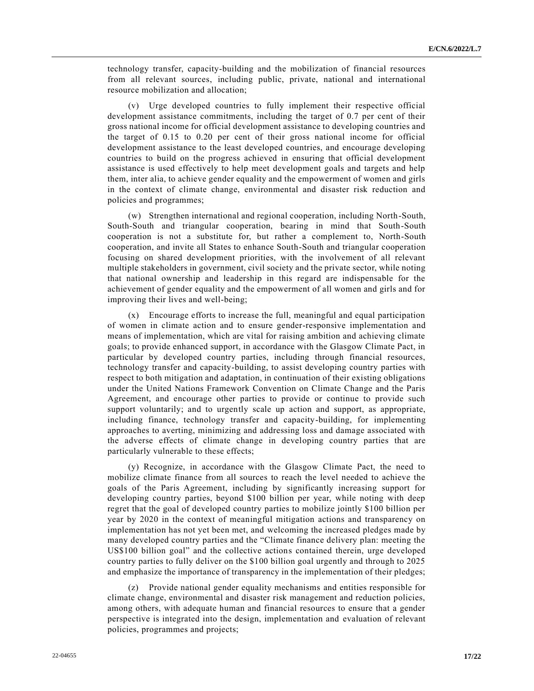technology transfer, capacity-building and the mobilization of financial resources from all relevant sources, including public, private, national and international resource mobilization and allocation;

(v) Urge developed countries to fully implement their respective official development assistance commitments, including the target of 0.7 per cent of their gross national income for official development assistance to developing countries and the target of 0.15 to 0.20 per cent of their gross national income for official development assistance to the least developed countries, and encourage developing countries to build on the progress achieved in ensuring that official development assistance is used effectively to help meet development goals and targets and help them, inter alia, to achieve gender equality and the empowerment of women and girls in the context of climate change, environmental and disaster risk reduction and policies and programmes;

(w) Strengthen international and regional cooperation, including North-South, South-South and triangular cooperation, bearing in mind that South-South cooperation is not a substitute for, but rather a complement to, North-South cooperation, and invite all States to enhance South-South and triangular cooperation focusing on shared development priorities, with the involvement of all relevant multiple stakeholders in government, civil society and the private sector, while noting that national ownership and leadership in this regard are indispensable for the achievement of gender equality and the empowerment of all women and girls and for improving their lives and well-being;

(x) Encourage efforts to increase the full, meaningful and equal participation of women in climate action and to ensure gender-responsive implementation and means of implementation, which are vital for raising ambition and achieving climate goals; to provide enhanced support, in accordance with the Glasgow Climate Pact, in particular by developed country parties, including through financial resources, technology transfer and capacity-building, to assist developing country parties with respect to both mitigation and adaptation, in continuation of their existing obligations under the United Nations Framework Convention on Climate Change and the Paris Agreement, and encourage other parties to provide or continue to provide such support voluntarily; and to urgently scale up action and support, as appropriate, including finance, technology transfer and capacity-building, for implementing approaches to averting, minimizing and addressing loss and damage associated with the adverse effects of climate change in developing country parties that are particularly vulnerable to these effects;

(y) Recognize, in accordance with the Glasgow Climate Pact, the need to mobilize climate finance from all sources to reach the level needed to achieve the goals of the Paris Agreement, including by significantly increasing support for developing country parties, beyond \$100 billion per year, while noting with deep regret that the goal of developed country parties to mobilize jointly \$100 billion per year by 2020 in the context of meaningful mitigation actions and transparency on implementation has not yet been met, and welcoming the increased pledges made by many developed country parties and the "Climate finance delivery plan: meeting the US\$100 billion goal" and the collective actions contained therein, urge developed country parties to fully deliver on the \$100 billion goal urgently and through to 2025 and emphasize the importance of transparency in the implementation of their pledges;

(z) Provide national gender equality mechanisms and entities responsible for climate change, environmental and disaster risk management and reduction policies, among others, with adequate human and financial resources to ensure that a gender perspective is integrated into the design, implementation and evaluation of relevant policies, programmes and projects;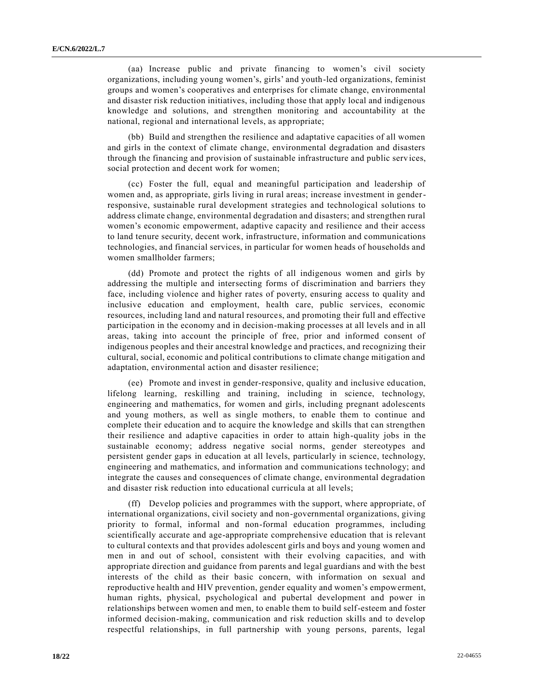(aa) Increase public and private financing to women's civil society organizations, including young women's, girls' and youth-led organizations, feminist groups and women's cooperatives and enterprises for climate change, environmental and disaster risk reduction initiatives, including those that apply local and indigenous knowledge and solutions, and strengthen monitoring and accountability at the national, regional and international levels, as appropriate;

(bb) Build and strengthen the resilience and adaptative capacities of all women and girls in the context of climate change, environmental degradation and disasters through the financing and provision of sustainable infrastructure and public serv ices, social protection and decent work for women;

(cc) Foster the full, equal and meaningful participation and leadership of women and, as appropriate, girls living in rural areas; increase investment in genderresponsive, sustainable rural development strategies and technological solutions to address climate change, environmental degradation and disasters; and strengthen rural women's economic empowerment, adaptive capacity and resilience and their access to land tenure security, decent work, infrastructure, information and communications technologies, and financial services, in particular for women heads of households and women smallholder farmers;

(dd) Promote and protect the rights of all indigenous women and girls by addressing the multiple and intersecting forms of discrimination and barriers they face, including violence and higher rates of poverty, ensuring access to quality and inclusive education and employment, health care, public services, economic resources, including land and natural resources, and promoting their full and effective participation in the economy and in decision-making processes at all levels and in all areas, taking into account the principle of free, prior and informed consent of indigenous peoples and their ancestral knowledge and practices, and recognizing their cultural, social, economic and political contributions to climate change mitigation and adaptation, environmental action and disaster resilience;

(ee) Promote and invest in gender-responsive, quality and inclusive education, lifelong learning, reskilling and training, including in science, technology, engineering and mathematics, for women and girls, including pregnant adolescents and young mothers, as well as single mothers, to enable them to continue and complete their education and to acquire the knowledge and skills that can strengthen their resilience and adaptive capacities in order to attain high-quality jobs in the sustainable economy; address negative social norms, gender stereotypes and persistent gender gaps in education at all levels, particularly in science, technology, engineering and mathematics, and information and communications technology; and integrate the causes and consequences of climate change, environmental degradation and disaster risk reduction into educational curricula at all levels;

(ff) Develop policies and programmes with the support, where appropriate, of international organizations, civil society and non-governmental organizations, giving priority to formal, informal and non-formal education programmes, including scientifically accurate and age-appropriate comprehensive education that is relevant to cultural contexts and that provides adolescent girls and boys and young women and men in and out of school, consistent with their evolving capacities, and with appropriate direction and guidance from parents and legal guardians and with the best interests of the child as their basic concern, with information on sexual and reproductive health and HIV prevention, gender equality and women's empowerment, human rights, physical, psychological and pubertal development and power in relationships between women and men, to enable them to build self-esteem and foster informed decision-making, communication and risk reduction skills and to develop respectful relationships, in full partnership with young persons, parents, legal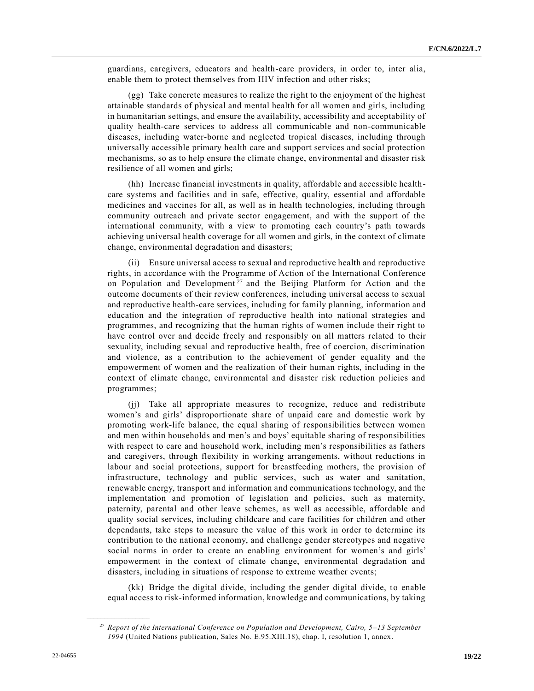guardians, caregivers, educators and health-care providers, in order to, inter alia, enable them to protect themselves from HIV infection and other risks;

(gg) Take concrete measures to realize the right to the enjoyment of the highest attainable standards of physical and mental health for all women and girls, including in humanitarian settings, and ensure the availability, accessibility and acceptability of quality health-care services to address all communicable and non-communicable diseases, including water-borne and neglected tropical diseases, including through universally accessible primary health care and support services and social protection mechanisms, so as to help ensure the climate change, environmental and disaster risk resilience of all women and girls;

(hh) Increase financial investments in quality, affordable and accessible healthcare systems and facilities and in safe, effective, quality, essential and affordable medicines and vaccines for all, as well as in health technologies, including through community outreach and private sector engagement, and with the support of the international community, with a view to promoting each country's path towards achieving universal health coverage for all women and girls, in the context of climate change, environmental degradation and disasters;

(ii) Ensure universal access to sexual and reproductive health and reproductive rights, in accordance with the Programme of Action of the International Conference on Population and Development<sup>27</sup> and the Beijing Platform for Action and the outcome documents of their review conferences, including universal access to sexual and reproductive health-care services, including for family planning, information and education and the integration of reproductive health into national strategies and programmes, and recognizing that the human rights of women include their right to have control over and decide freely and responsibly on all matters related to their sexuality, including sexual and reproductive health, free of coercion, discrimination and violence, as a contribution to the achievement of gender equality and the empowerment of women and the realization of their human rights, including in the context of climate change, environmental and disaster risk reduction policies and programmes;

(jj) Take all appropriate measures to recognize, reduce and redistribute women's and girls' disproportionate share of unpaid care and domestic work by promoting work-life balance, the equal sharing of responsibilities between women and men within households and men's and boys' equitable sharing of responsibilities with respect to care and household work, including men's responsibilities as fathers and caregivers, through flexibility in working arrangements, without reductions in labour and social protections, support for breastfeeding mothers, the provision of infrastructure, technology and public services, such as water and sanitation, renewable energy, transport and information and communications technology, and the implementation and promotion of legislation and policies, such as maternity, paternity, parental and other leave schemes, as well as accessible, affordable and quality social services, including childcare and care facilities for children and other dependants, take steps to measure the value of this work in order to determine its contribution to the national economy, and challenge gender stereotypes and negative social norms in order to create an enabling environment for women's and girls' empowerment in the context of climate change, environmental degradation and disasters, including in situations of response to extreme weather events;

(kk) Bridge the digital divide, including the gender digital divide, to enable equal access to risk-informed information, knowledge and communications, by taking

<sup>27</sup> *Report of the International Conference on Population and Development, Cairo, 5–13 September 1994* (United Nations publication, Sales No. E.95.XIII.18), chap. I, resolution 1, annex.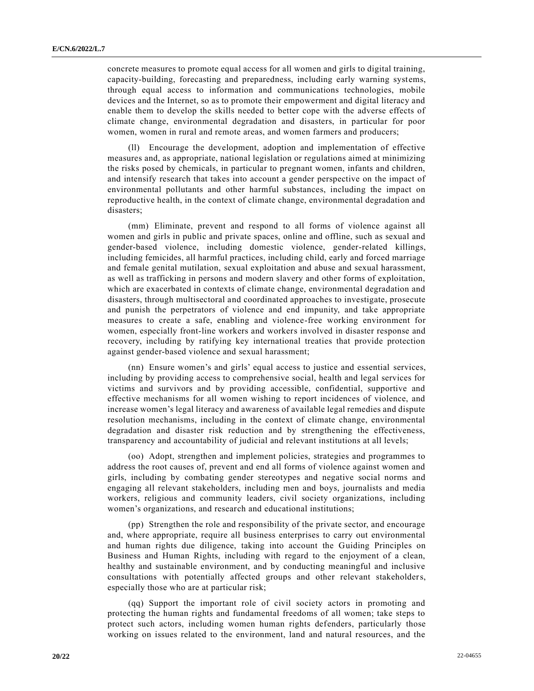concrete measures to promote equal access for all women and girls to digital training, capacity-building, forecasting and preparedness, including early warning systems, through equal access to information and communications technologies, mobile devices and the Internet, so as to promote their empowerment and digital literacy and enable them to develop the skills needed to better cope with the adverse effects of climate change, environmental degradation and disasters, in particular for poor women, women in rural and remote areas, and women farmers and producers;

(ll) Encourage the development, adoption and implementation of effective measures and, as appropriate, national legislation or regulations aimed at minimizing the risks posed by chemicals, in particular to pregnant women, infants and children, and intensify research that takes into account a gender perspective on the impact of environmental pollutants and other harmful substances, including the impact on reproductive health, in the context of climate change, environmental degradation and disasters;

(mm) Eliminate, prevent and respond to all forms of violence against all women and girls in public and private spaces, online and offline, such as sexual and gender-based violence, including domestic violence, gender-related killings, including femicides, all harmful practices, including child, early and forced marriage and female genital mutilation, sexual exploitation and abuse and sexual harassment, as well as trafficking in persons and modern slavery and other forms of exploitation, which are exacerbated in contexts of climate change, environmental degradation and disasters, through multisectoral and coordinated approaches to investigate, prosecute and punish the perpetrators of violence and end impunity, and take appropriate measures to create a safe, enabling and violence-free working environment for women, especially front-line workers and workers involved in disaster response and recovery, including by ratifying key international treaties that provide protection against gender-based violence and sexual harassment;

(nn) Ensure women's and girls' equal access to justice and essential services, including by providing access to comprehensive social, health and legal services for victims and survivors and by providing accessible, confidential, supportive and effective mechanisms for all women wishing to report incidences of violence, and increase women's legal literacy and awareness of available legal remedies and dispute resolution mechanisms, including in the context of climate change, environmental degradation and disaster risk reduction and by strengthening the effectiveness, transparency and accountability of judicial and relevant institutions at all levels;

(oo) Adopt, strengthen and implement policies, strategies and programmes to address the root causes of, prevent and end all forms of violence against women and girls, including by combating gender stereotypes and negative social norms and engaging all relevant stakeholders, including men and boys, journalists and media workers, religious and community leaders, civil society organizations, including women's organizations, and research and educational institutions;

(pp) Strengthen the role and responsibility of the private sector, and encourage and, where appropriate, require all business enterprises to carry out environmental and human rights due diligence, taking into account the Guiding Principles on Business and Human Rights, including with regard to the enjoyment of a clean, healthy and sustainable environment, and by conducting meaningful and inclusive consultations with potentially affected groups and other relevant stakeholders, especially those who are at particular risk;

(qq) Support the important role of civil society actors in promoting and protecting the human rights and fundamental freedoms of all women; take steps to protect such actors, including women human rights defenders, particularly those working on issues related to the environment, land and natural resources, and the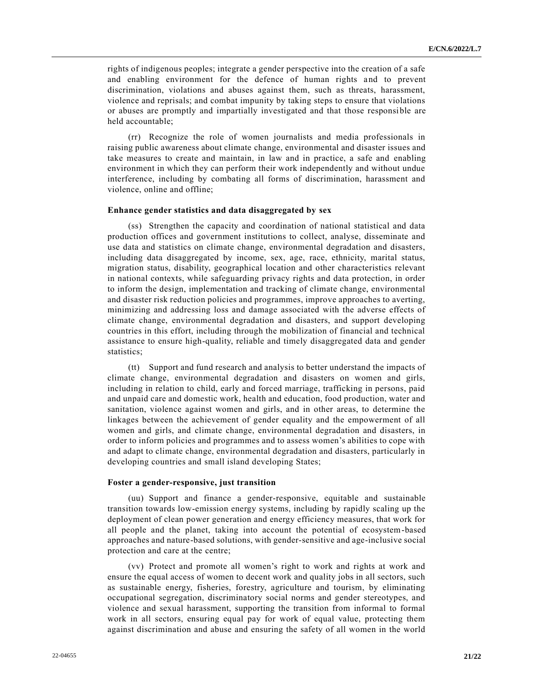rights of indigenous peoples; integrate a gender perspective into the creation of a safe and enabling environment for the defence of human rights and to prevent discrimination, violations and abuses against them, such as threats, harassment, violence and reprisals; and combat impunity by taking steps to ensure that violations or abuses are promptly and impartially investigated and that those responsible are held accountable;

(rr) Recognize the role of women journalists and media professionals in raising public awareness about climate change, environmental and disaster issues and take measures to create and maintain, in law and in practice, a safe and enabling environment in which they can perform their work independently and without undue interference, including by combating all forms of discrimination, harassment and violence, online and offline;

### **Enhance gender statistics and data disaggregated by sex**

(ss) Strengthen the capacity and coordination of national statistical and data production offices and government institutions to collect, analyse, disseminate and use data and statistics on climate change, environmental degradation and disasters, including data disaggregated by income, sex, age, race, ethnicity, marital status, migration status, disability, geographical location and other characteristics relevant in national contexts, while safeguarding privacy rights and data protection, in order to inform the design, implementation and tracking of climate change, environmental and disaster risk reduction policies and programmes, improve approaches to averting, minimizing and addressing loss and damage associated with the adverse effects of climate change, environmental degradation and disasters, and support developing countries in this effort, including through the mobilization of financial and technical assistance to ensure high-quality, reliable and timely disaggregated data and gender statistics;

(tt) Support and fund research and analysis to better understand the impacts of climate change, environmental degradation and disasters on women and girls, including in relation to child, early and forced marriage, trafficking in persons, paid and unpaid care and domestic work, health and education, food production, water and sanitation, violence against women and girls, and in other areas, to determine the linkages between the achievement of gender equality and the empowerment of all women and girls, and climate change, environmental degradation and disasters, in order to inform policies and programmes and to assess women's abilities to cope with and adapt to climate change, environmental degradation and disasters, particularly in developing countries and small island developing States;

#### **Foster a gender-responsive, just transition**

(uu) Support and finance a gender-responsive, equitable and sustainable transition towards low-emission energy systems, including by rapidly scaling up the deployment of clean power generation and energy efficiency measures, that work for all people and the planet, taking into account the potential of ecosystem-based approaches and nature-based solutions, with gender-sensitive and age-inclusive social protection and care at the centre;

(vv) Protect and promote all women's right to work and rights at work and ensure the equal access of women to decent work and quality jobs in all sectors, such as sustainable energy, fisheries, forestry, agriculture and tourism, by eliminating occupational segregation, discriminatory social norms and gender stereotypes, and violence and sexual harassment, supporting the transition from informal to formal work in all sectors, ensuring equal pay for work of equal value, protecting them against discrimination and abuse and ensuring the safety of all women in the world